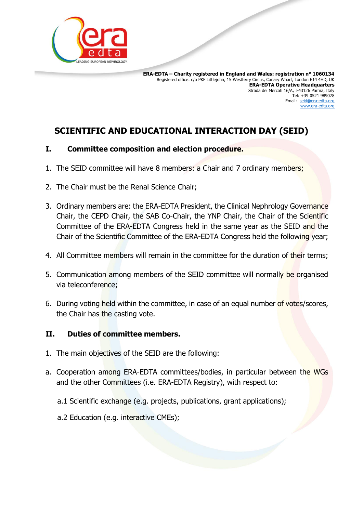

 **ERA-EDTA – Charity registered in England and Wales: registration n° 1060134** Registered office: c/o PKF Littlejohn, 15 Westferry Circus, Canary Wharf, London E14 4HD, UK **ERA-EDTA Operative Headquarters** Strada dei Mercati 16/A, I-43126 Parma, Italy Tel: +39 0521 989078 Email: [seid@era-edta.org](mailto:seid@era-edta.org) [www.era-edta.org](http://www.era-edta.org/)

# **SCIENTIFIC AND EDUCATIONAL INTERACTION DAY (SEID)**

### **I. Committee composition and election procedure.**

- 1. The SEID committee will have 8 members: a Chair and 7 ordinary members;
- 2. The Chair must be the Renal Science Chair;
- 3. Ordinary members are: the ERA-EDTA President, the Clinical Nephrology Governance Chair, the CEPD Chair, the SAB Co-Chair, the YNP Chair, the Chair of the Scientific Committee of the ERA-EDTA Congress held in the same year as the SEID and the Chair of the Scientific Committee of the ERA-EDTA Congress held the following year;
- 4. All Committee members will remain in the committee for the duration of their terms;
- 5. Communication among members of the SEID committee will normally be organised via teleconference;
- 6. During voting held within the committee, in case of an equal number of votes/scores, the Chair has the casting vote.

#### **II. Duties of committee members.**

- 1. The main objectives of the SEID are the following:
- a. Cooperation among ERA-EDTA committees/bodies, in particular between the WGs and the other Committees (i.e. ERA-EDTA Registry), with respect to:
	- a.1 Scientific exchange (e.g. projects, publications, grant applications);
	- a.2 Education (e.g. interactive CMEs);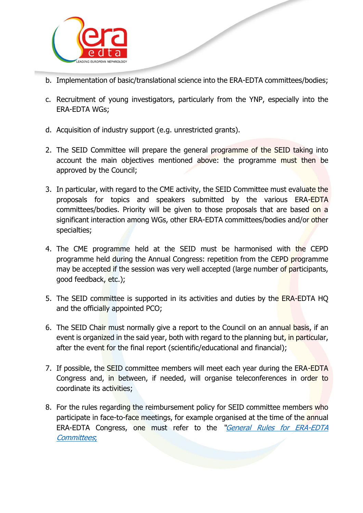

- b. Implementation of basic/translational science into the ERA-EDTA committees/bodies;
- c. Recruitment of young investigators, particularly from the YNP, especially into the ERA-EDTA WGs;
- d. Acquisition of industry support (e.g. unrestricted grants).
- 2. The SEID Committee will prepare the general programme of the SEID taking into account the main objectives mentioned above: the programme must then be approved by the Council;
- 3. In particular, with regard to the CME activity, the SEID Committee must evaluate the proposals for topics and speakers submitted by the various ERA-EDTA committees/bodies. Priority will be given to those proposals that are based on a significant interaction among WGs, other ERA-EDTA committees/bodies and/or other specialties;
- 4. The CME programme held at the SEID must be harmonised with the CEPD programme held during the Annual Congress: repetition from the CEPD programme may be accepted if the session was very well accepted (large number of participants, good feedback, etc.);
- 5. The SEID committee is supported in its activities and duties by the ERA-EDTA HQ and the officially appointed PCO;
- 6. The SEID Chair must normally give a report to the Council on an annual basis, if an event is organized in the said year, both with regard to the planning but, in particular, after the event for the final report (scientific/educational and financial);
- 7. If possible, the SEID committee members will meet each year during the ERA-EDTA Congress and, in between, if needed, will organise teleconferences in order to coordinate its activities;
- 8. For the rules regarding the reimbursement policy for SEID committee members who participate in face-to-face meetings, for example organised at the time of the annual ERA-EDTA Congress, one must refer to the "[General Rules for ERA-EDTA](https://www.era-edta.org/en/wp-content/uploads/2021/05/General_Rules_ERA-EDTA_Committees-1.pdf)  [Committees](https://www.era-edta.org/en/wp-content/uploads/2021/05/General_Rules_ERA-EDTA_Committees-1.pdf);